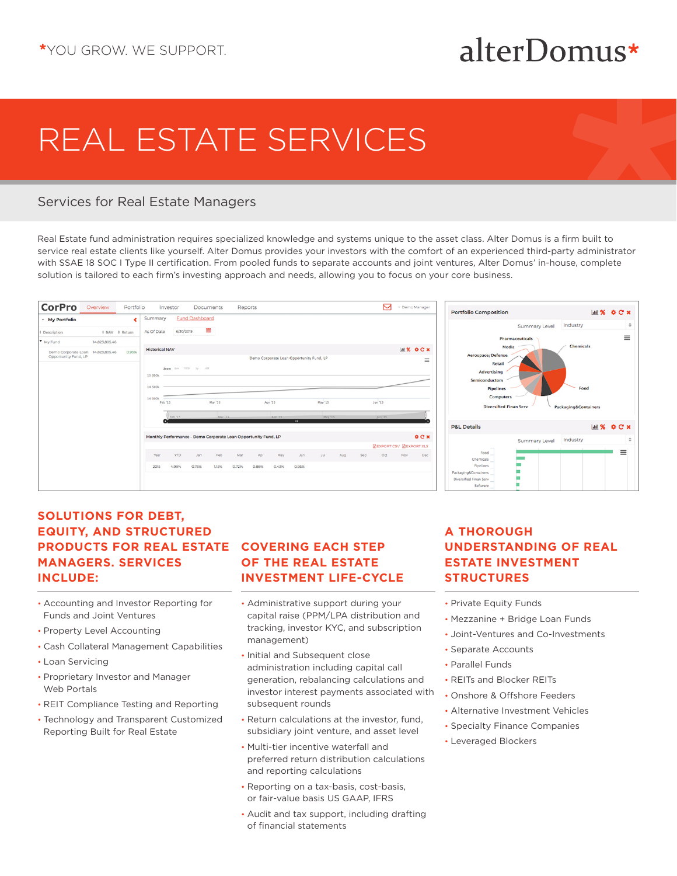## alterDomus\*

# REAL ESTATE SERVICES

#### Services for Real Estate Managers

Real Estate fund administration requires specialized knowledge and systems unique to the asset class. Alter Domus is a firm built to service real estate clients like yourself. Alter Domus provides your investors with the comfort of an experienced third-party administrator with SSAE 18 SOC I Type II certification. From pooled funds to separate accounts and joint ventures, Alter Domus' in-house, complete solution is tailored to each firm's investing approach and needs, allowing you to focus on your core business.





#### **SOLUTIONS FOR DEBT, EQUITY, AND STRUCTURED PRODUCTS FOR REAL ESTATE MANAGERS. SERVICES INCLUDE:**

- Accounting and Investor Reporting for Funds and Joint Ventures
- Property Level Accounting
- Cash Collateral Management Capabilities
- Loan Servicing
- Proprietary Investor and Manager Web Portals
- REIT Compliance Testing and Reporting
- Technology and Transparent Customized Reporting Built for Real Estate

### **COVERING EACH STEP OF THE REAL ESTATE INVESTMENT LIFE-CYCLE**

- Administrative support during your capital raise (PPM/LPA distribution and tracking, investor KYC, and subscription management)
- Initial and Subsequent close administration including capital call generation, rebalancing calculations and investor interest payments associated with subsequent rounds
- Return calculations at the investor, fund, subsidiary joint venture, and asset level
- Multi-tier incentive waterfall and preferred return distribution calculations and reporting calculations
- Reporting on a tax-basis, cost-basis, or fair-value basis US GAAP, IFRS
- Audit and tax support, including drafting of financial statements

#### **A THOROUGH UNDERSTANDING OF REAL ESTATE INVESTMENT STRUCTURES**

- Private Equity Funds
- Mezzanine + Bridge Loan Funds
- Joint-Ventures and Co-Investments
- Separate Accounts
- Parallel Funds
- REITs and Blocker REITs
- Onshore & Offshore Feeders
- Alternative Investment Vehicles
- Specialty Finance Companies
- Leveraged Blockers